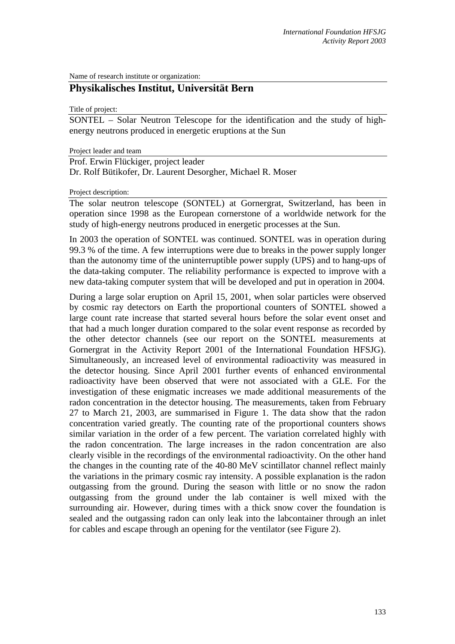Name of research institute or organization:

# **Physikalisches Institut, Universität Bern**

Title of project:

SONTEL – Solar Neutron Telescope for the identification and the study of highenergy neutrons produced in energetic eruptions at the Sun

Project leader and team

Prof. Erwin Flückiger, project leader

Dr. Rolf Bütikofer, Dr. Laurent Desorgher, Michael R. Moser

Project description:

The solar neutron telescope (SONTEL) at Gornergrat, Switzerland, has been in operation since 1998 as the European cornerstone of a worldwide network for the study of high-energy neutrons produced in energetic processes at the Sun.

In 2003 the operation of SONTEL was continued. SONTEL was in operation during 99.3 % of the time. A few interruptions were due to breaks in the power supply longer than the autonomy time of the uninterruptible power supply (UPS) and to hang-ups of the data-taking computer. The reliability performance is expected to improve with a new data-taking computer system that will be developed and put in operation in 2004.

During a large solar eruption on April 15, 2001, when solar particles were observed by cosmic ray detectors on Earth the proportional counters of SONTEL showed a large count rate increase that started several hours before the solar event onset and that had a much longer duration compared to the solar event response as recorded by the other detector channels (see our report on the SONTEL measurements at Gornergrat in the Activity Report 2001 of the International Foundation HFSJG). Simultaneously, an increased level of environmental radioactivity was measured in the detector housing. Since April 2001 further events of enhanced environmental radioactivity have been observed that were not associated with a GLE. For the investigation of these enigmatic increases we made additional measurements of the radon concentration in the detector housing. The measurements, taken from February 27 to March 21, 2003, are summarised in Figure 1. The data show that the radon concentration varied greatly. The counting rate of the proportional counters shows similar variation in the order of a few percent. The variation correlated highly with the radon concentration. The large increases in the radon concentration are also clearly visible in the recordings of the environmental radioactivity. On the other hand the changes in the counting rate of the 40-80 MeV scintillator channel reflect mainly the variations in the primary cosmic ray intensity. A possible explanation is the radon outgassing from the ground. During the season with little or no snow the radon outgassing from the ground under the lab container is well mixed with the surrounding air. However, during times with a thick snow cover the foundation is sealed and the outgassing radon can only leak into the labcontainer through an inlet for cables and escape through an opening for the ventilator (see Figure 2).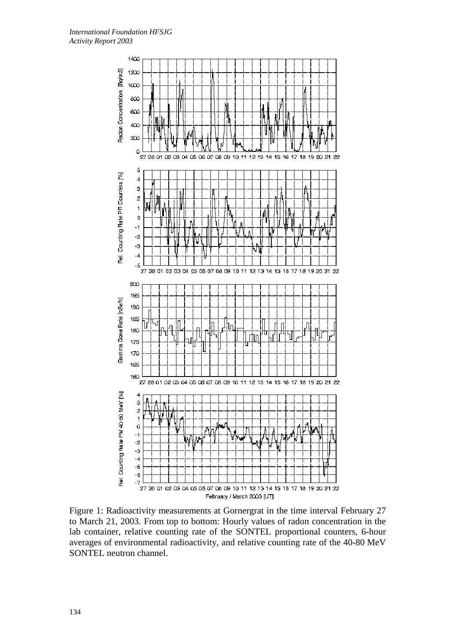

Figure 1: Radioactivity measurements at Gornergrat in the time interval February 27 to March 21, 2003. From top to bottom: Hourly values of radon concentration in the lab container, relative counting rate of the SONTEL proportional counters, 6-hour averages of environmental radioactivity, and relative counting rate of the 40-80 MeV SONTEL neutron channel.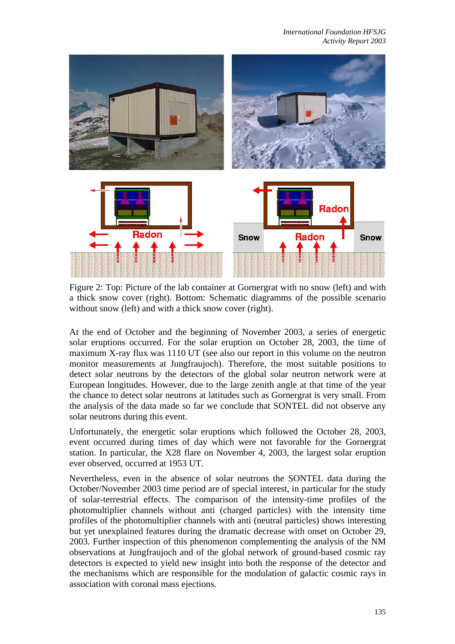

Figure 2: Top: Picture of the lab container at Gornergrat with no snow (left) and with a thick snow cover (right). Bottom: Schematic diagramms of the possible scenario without snow (left) and with a thick snow cover (right).

At the end of October and the beginning of November 2003, a series of energetic solar eruptions occurred. For the solar eruption on October 28, 2003, the time of maximum X-ray flux was 1110 UT (see also our report in this volume on the neutron monitor measurements at Jungfraujoch). Therefore, the most suitable positions to detect solar neutrons by the detectors of the global solar neutron network were at European longitudes. However, due to the large zenith angle at that time of the year the chance to detect solar neutrons at latitudes such as Gornergrat is very small. From the analysis of the data made so far we conclude that SONTEL did not observe any solar neutrons during this event.

Unfortunately, the energetic solar eruptions which followed the October 28, 2003, event occurred during times of day which were not favorable for the Gornergrat station. In particular, the X28 flare on November 4, 2003, the largest solar eruption ever observed, occurred at 1953 UT.

Nevertheless, even in the absence of solar neutrons the SONTEL data during the October/November 2003 time period are of special interest, in particular for the study of solar-terrestrial effects. The comparison of the intensity-time profiles of the photomultiplier channels without anti (charged particles) with the intensity time profiles of the photomultiplier channels with anti (neutral particles) shows interesting but yet unexplained features during the dramatic decrease with onset on October 29, 2003. Further inspection of this phenomenon complementing the analysis of the NM observations at Jungfraujoch and of the global network of ground-based cosmic ray detectors is expected to yield new insight into both the response of the detector and the mechanisms which are responsible for the modulation of galactic cosmic rays in association with coronal mass ejections.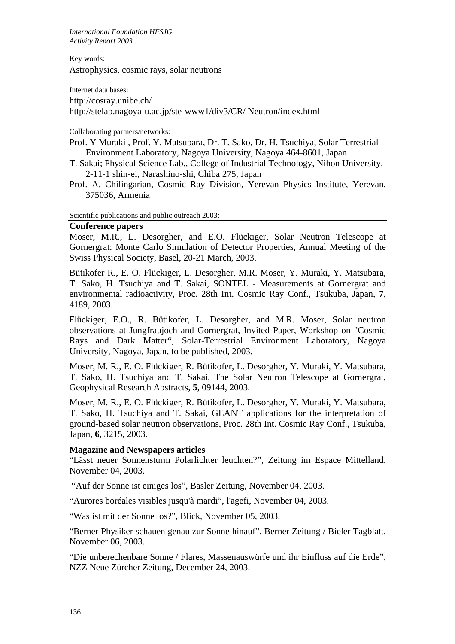#### Key words:

Astrophysics, cosmic rays, solar neutrons

Internet data bases:

http://cosray.unibe.ch/

http://stelab.nagoya-u.ac.jp/ste-www1/div3/CR/ Neutron/index.html

Collaborating partners/networks:

Prof. Y Muraki , Prof. Y. Matsubara, Dr. T. Sako, Dr. H. Tsuchiya, Solar Terrestrial Environment Laboratory, Nagoya University, Nagoya 464-8601, Japan

- T. Sakai; Physical Science Lab., College of Industrial Technology, Nihon University, 2-11-1 shin-ei, Narashino-shi, Chiba 275, Japan
- Prof. A. Chilingarian, Cosmic Ray Division, Yerevan Physics Institute, Yerevan, 375036, Armenia

Scientific publications and public outreach 2003:

#### **Conference papers**

Moser, M.R., L. Desorgher, and E.O. Flückiger, Solar Neutron Telescope at Gornergrat: Monte Carlo Simulation of Detector Properties, Annual Meeting of the Swiss Physical Society, Basel, 20-21 March, 2003.

Bütikofer R., E. O. Flückiger, L. Desorgher, M.R. Moser, Y. Muraki, Y. Matsubara, T. Sako, H. Tsuchiya and T. Sakai, SONTEL - Measurements at Gornergrat and environmental radioactivity, Proc. 28th Int. Cosmic Ray Conf., Tsukuba, Japan, **7**, 4189, 2003.

Flückiger, E.O., R. Bütikofer, L. Desorgher, and M.R. Moser, Solar neutron observations at Jungfraujoch and Gornergrat, Invited Paper, Workshop on "Cosmic Rays and Dark Matter", Solar-Terrestrial Environment Laboratory, Nagoya University, Nagoya, Japan, to be published, 2003.

Moser, M. R., E. O. Flückiger, R. Bütikofer, L. Desorgher, Y. Muraki, Y. Matsubara, T. Sako, H. Tsuchiya and T. Sakai, The Solar Neutron Telescope at Gornergrat, Geophysical Research Abstracts, **5**, 09144, 2003.

Moser, M. R., E. O. Flückiger, R. Bütikofer, L. Desorgher, Y. Muraki, Y. Matsubara, T. Sako, H. Tsuchiya and T. Sakai, GEANT applications for the interpretation of ground-based solar neutron observations, Proc. 28th Int. Cosmic Ray Conf., Tsukuba, Japan, **6**, 3215, 2003.

### **Magazine and Newspapers articles**

"Lässt neuer Sonnensturm Polarlichter leuchten?", Zeitung im Espace Mittelland, November 04, 2003.

"Auf der Sonne ist einiges los", Basler Zeitung, November 04, 2003.

"Aurores boréales visibles jusqu'à mardi", l'agefi, November 04, 2003.

"Was ist mit der Sonne los?", Blick, November 05, 2003.

"Berner Physiker schauen genau zur Sonne hinauf", Berner Zeitung / Bieler Tagblatt, November 06, 2003.

"Die unberechenbare Sonne / Flares, Massenauswürfe und ihr Einfluss auf die Erde", NZZ Neue Zürcher Zeitung, December 24, 2003.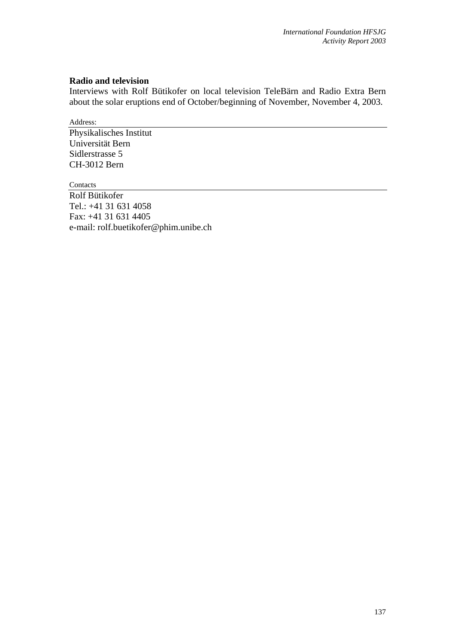## **Radio and television**

Interviews with Rolf Bütikofer on local television TeleBärn and Radio Extra Bern about the solar eruptions end of October/beginning of November, November 4, 2003.

Address:

Physikalisches Institut Universität Bern Sidlerstrasse 5 CH-3012 Bern

Contacts Rolf Bütikofer Tel.: +41 31 631 4058 Fax: +41 31 631 4405 e-mail: rolf.buetikofer@phim.unibe.ch